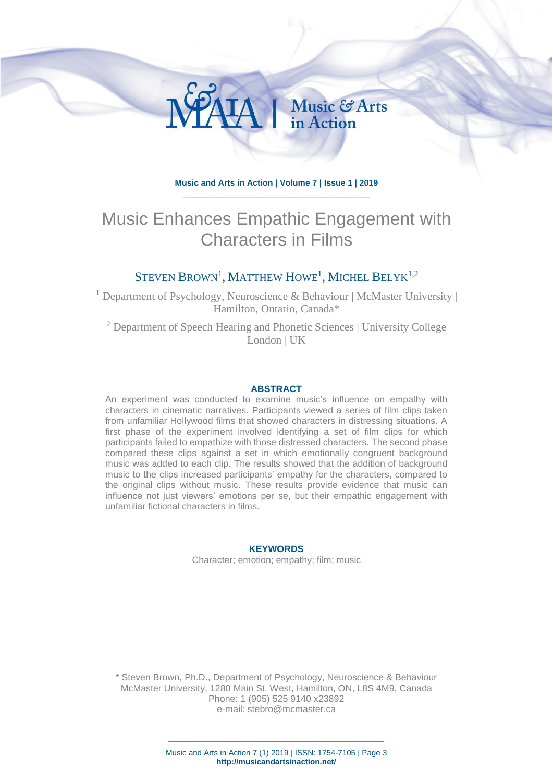

HA | Music & Arts

# Music Enhances Empathic Engagement with Characters in Films

## STEVEN  $\rm Brown^1$ , Matthew Howe<sup>1</sup>, Michel Belyk<sup>1,2</sup>

<sup>1</sup> Department of Psychology, Neuroscience & Behaviour | McMaster University | Hamilton, Ontario, Canada\*

<sup>2</sup> Department of Speech Hearing and Phonetic Sciences | University College London | UK

#### **ABSTRACT**

An experiment was conducted to examine music's influence on empathy with characters in cinematic narratives. Participants viewed a series of film clips taken from unfamiliar Hollywood films that showed characters in distressing situations. A first phase of the experiment involved identifying a set of film clips for which participants failed to empathize with those distressed characters. The second phase compared these clips against a set in which emotionally congruent background music was added to each clip. The results showed that the addition of background music to the clips increased participants' empathy for the characters, compared to the original clips without music. These results provide evidence that music can influence not just viewers' emotions per se, but their empathic engagement with unfamiliar fictional characters in films.

#### **KEYWORDS**

Character; emotion; empathy; film; music

\* Steven Brown, Ph.D., Department of Psychology, Neuroscience & Behaviour McMaster University, 1280 Main St. West, Hamilton, ON, L8S 4M9, Canada Phone: 1 (905) 525 9140 x23892 e-mail: [stebro@mcmaster.ca](mailto:stebro@mcmaster.ca)

> \_\_\_\_\_\_\_\_\_\_\_\_\_\_\_\_\_\_\_\_\_\_\_\_\_\_\_\_\_\_\_\_\_\_\_\_\_\_\_\_\_\_\_ Music and Arts in Action 7 (1) 2019 | ISSN: 1754-7105 | Page 3 **http://musicandartsinaction.net/**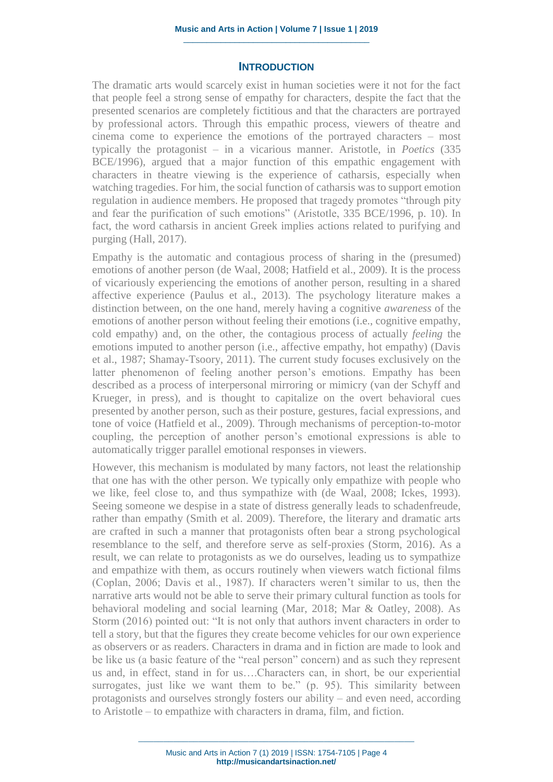#### **INTRODUCTION**

The dramatic arts would scarcely exist in human societies were it not for the fact that people feel a strong sense of empathy for characters, despite the fact that the presented scenarios are completely fictitious and that the characters are portrayed by professional actors. Through this empathic process, viewers of theatre and cinema come to experience the emotions of the portrayed characters – most typically the protagonist – in a vicarious manner. Aristotle, in *Poetics* (335 BCE/1996), argued that a major function of this empathic engagement with characters in theatre viewing is the experience of catharsis, especially when watching tragedies. For him, the social function of catharsis was to support emotion regulation in audience members. He proposed that tragedy promotes "through pity and fear the purification of such emotions" (Aristotle, 335 BCE/1996, p. 10). In fact, the word catharsis in ancient Greek implies actions related to purifying and purging (Hall, 2017).

Empathy is the automatic and contagious process of sharing in the (presumed) emotions of another person (de Waal, 2008; Hatfield et al., 2009). It is the process of vicariously experiencing the emotions of another person, resulting in a shared affective experience (Paulus et al., 2013). The psychology literature makes a distinction between, on the one hand, merely having a cognitive *awareness* of the emotions of another person without feeling their emotions (i.e., cognitive empathy, cold empathy) and, on the other, the contagious process of actually *feeling* the emotions imputed to another person (i.e., affective empathy, hot empathy) (Davis et al., 1987; Shamay-Tsoory, 2011). The current study focuses exclusively on the latter phenomenon of feeling another person's emotions. Empathy has been described as a process of interpersonal mirroring or mimicry (van der Schyff and Krueger, in press), and is thought to capitalize on the overt behavioral cues presented by another person, such as their posture, gestures, facial expressions, and tone of voice (Hatfield et al., 2009). Through mechanisms of perception-to-motor coupling, the perception of another person's emotional expressions is able to automatically trigger parallel emotional responses in viewers.

However, this mechanism is modulated by many factors, not least the relationship that one has with the other person. We typically only empathize with people who we like, feel close to, and thus sympathize with (de Waal, 2008; Ickes, 1993). Seeing someone we despise in a state of distress generally leads to schadenfreude, rather than empathy (Smith et al. 2009). Therefore, the literary and dramatic arts are crafted in such a manner that protagonists often bear a strong psychological resemblance to the self, and therefore serve as self-proxies (Storm, 2016). As a result, we can relate to protagonists as we do ourselves, leading us to sympathize and empathize with them, as occurs routinely when viewers watch fictional films (Coplan, 2006; Davis et al., 1987). If characters weren't similar to us, then the narrative arts would not be able to serve their primary cultural function as tools for behavioral modeling and social learning (Mar, 2018; Mar & Oatley, 2008). As Storm (2016) pointed out: "It is not only that authors invent characters in order to tell a story, but that the figures they create become vehicles for our own experience as observers or as readers. Characters in drama and in fiction are made to look and be like us (a basic feature of the "real person" concern) and as such they represent us and, in effect, stand in for us….Characters can, in short, be our experiential surrogates, just like we want them to be." (p. 95). This similarity between protagonists and ourselves strongly fosters our ability – and even need, according to Aristotle – to empathize with characters in drama, film, and fiction.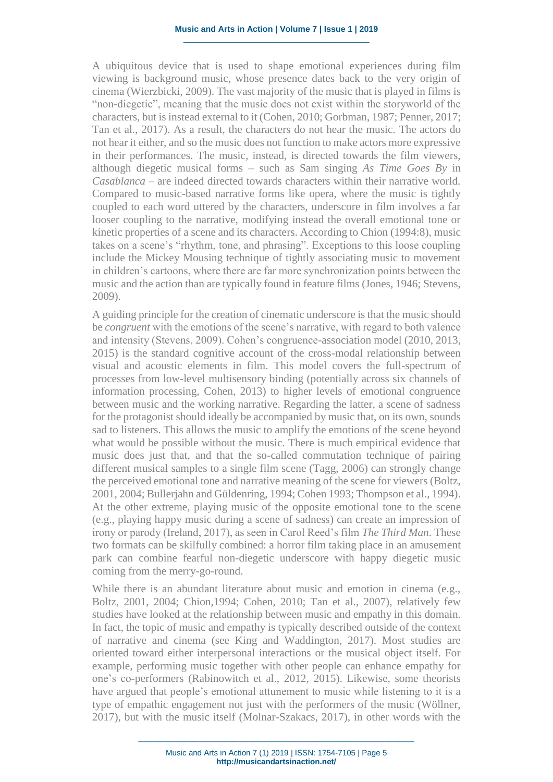A ubiquitous device that is used to shape emotional experiences during film viewing is background music, whose presence dates back to the very origin of cinema (Wierzbicki, 2009). The vast majority of the music that is played in films is "non-diegetic", meaning that the music does not exist within the storyworld of the characters, but is instead external to it (Cohen, 2010; Gorbman, 1987; Penner, 2017; Tan et al., 2017). As a result, the characters do not hear the music. The actors do not hear it either, and so the music does not function to make actors more expressive in their performances. The music, instead, is directed towards the film viewers, although diegetic musical forms – such as Sam singing *As Time Goes By* in *Casablanca* – are indeed directed towards characters within their narrative world. Compared to music-based narrative forms like opera, where the music is tightly coupled to each word uttered by the characters, underscore in film involves a far looser coupling to the narrative, modifying instead the overall emotional tone or kinetic properties of a scene and its characters. According to Chion (1994:8), music takes on a scene's "rhythm, tone, and phrasing". Exceptions to this loose coupling include the Mickey Mousing technique of tightly associating music to movement in children's cartoons, where there are far more synchronization points between the music and the action than are typically found in feature films (Jones, 1946; Stevens, 2009).

A guiding principle for the creation of cinematic underscore is that the music should be *congruent* with the emotions of the scene's narrative, with regard to both valence and intensity (Stevens, 2009). Cohen's congruence-association model (2010, 2013, 2015) is the standard cognitive account of the cross-modal relationship between visual and acoustic elements in film. This model covers the full-spectrum of processes from low-level multisensory binding (potentially across six channels of information processing, Cohen, 2013) to higher levels of emotional congruence between music and the working narrative. Regarding the latter, a scene of sadness for the protagonist should ideally be accompanied by music that, on its own, sounds sad to listeners. This allows the music to amplify the emotions of the scene beyond what would be possible without the music. There is much empirical evidence that music does just that, and that the so-called commutation technique of pairing different musical samples to a single film scene (Tagg, 2006) can strongly change the perceived emotional tone and narrative meaning of the scene for viewers (Boltz, 2001, 2004; Bullerjahn and Güldenring, 1994; Cohen 1993; Thompson et al., 1994). At the other extreme, playing music of the opposite emotional tone to the scene (e.g., playing happy music during a scene of sadness) can create an impression of irony or parody (Ireland, 2017), as seen in Carol Reed's film *The Third Man*. These two formats can be skilfully combined: a horror film taking place in an amusement park can combine fearful non-diegetic underscore with happy diegetic music coming from the merry-go-round.

While there is an abundant literature about music and emotion in cinema (e.g., Boltz, 2001, 2004; Chion,1994; Cohen, 2010; Tan et al., 2007), relatively few studies have looked at the relationship between music and empathy in this domain. In fact, the topic of music and empathy is typically described outside of the context of narrative and cinema (see King and Waddington, 2017). Most studies are oriented toward either interpersonal interactions or the musical object itself. For example, performing music together with other people can enhance empathy for one's co-performers (Rabinowitch et al., 2012, 2015). Likewise, some theorists have argued that people's emotional attunement to music while listening to it is a type of empathic engagement not just with the performers of the music (Wöllner, 2017), but with the music itself (Molnar-Szakacs, 2017), in other words with the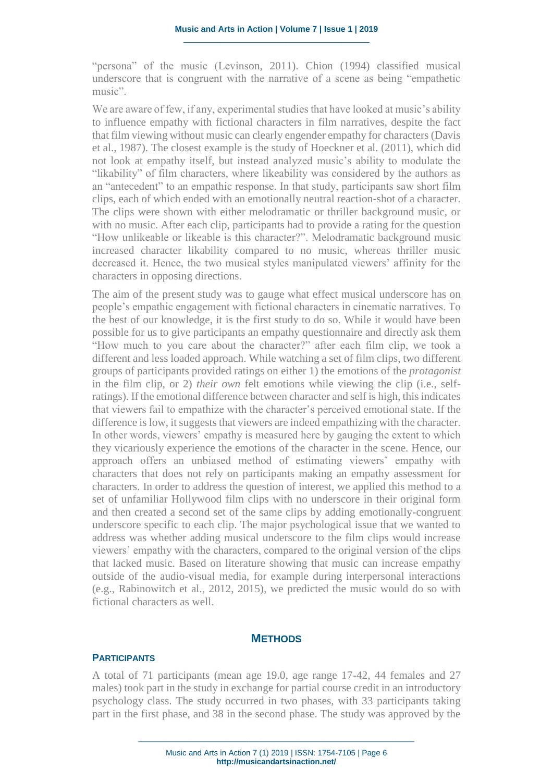"persona" of the music (Levinson, 2011). Chion (1994) classified musical underscore that is congruent with the narrative of a scene as being "empathetic music".

We are aware of few, if any, experimental studies that have looked at music's ability to influence empathy with fictional characters in film narratives, despite the fact that film viewing without music can clearly engender empathy for characters (Davis et al., 1987). The closest example is the study of Hoeckner et al. (2011), which did not look at empathy itself, but instead analyzed music's ability to modulate the "likability" of film characters, where likeability was considered by the authors as an "antecedent" to an empathic response. In that study, participants saw short film clips, each of which ended with an emotionally neutral reaction-shot of a character. The clips were shown with either melodramatic or thriller background music, or with no music. After each clip, participants had to provide a rating for the question "How unlikeable or likeable is this character?". Melodramatic background music increased character likability compared to no music, whereas thriller music decreased it. Hence, the two musical styles manipulated viewers' affinity for the characters in opposing directions.

The aim of the present study was to gauge what effect musical underscore has on people's empathic engagement with fictional characters in cinematic narratives. To the best of our knowledge, it is the first study to do so. While it would have been possible for us to give participants an empathy questionnaire and directly ask them "How much to you care about the character?" after each film clip, we took a different and less loaded approach. While watching a set of film clips, two different groups of participants provided ratings on either 1) the emotions of the *protagonist* in the film clip, or 2) *their own* felt emotions while viewing the clip (i.e., selfratings). If the emotional difference between character and self is high, this indicates that viewers fail to empathize with the character's perceived emotional state. If the difference is low, it suggests that viewers are indeed empathizing with the character. In other words, viewers' empathy is measured here by gauging the extent to which they vicariously experience the emotions of the character in the scene. Hence, our approach offers an unbiased method of estimating viewers' empathy with characters that does not rely on participants making an empathy assessment for characters. In order to address the question of interest, we applied this method to a set of unfamiliar Hollywood film clips with no underscore in their original form and then created a second set of the same clips by adding emotionally-congruent underscore specific to each clip. The major psychological issue that we wanted to address was whether adding musical underscore to the film clips would increase viewers' empathy with the characters, compared to the original version of the clips that lacked music. Based on literature showing that music can increase empathy outside of the audio-visual media, for example during interpersonal interactions (e.g., Rabinowitch et al., 2012, 2015), we predicted the music would do so with fictional characters as well.

#### **METHODS**

## **PARTICIPANTS**

A total of 71 participants (mean age 19.0, age range 17-42, 44 females and 27 males) took part in the study in exchange for partial course credit in an introductory psychology class. The study occurred in two phases, with 33 participants taking part in the first phase, and 38 in the second phase. The study was approved by the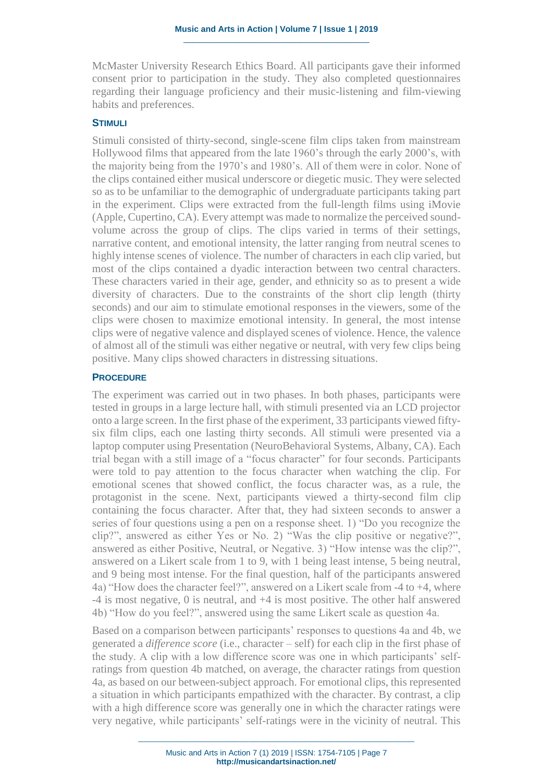McMaster University Research Ethics Board. All participants gave their informed consent prior to participation in the study. They also completed questionnaires regarding their language proficiency and their music-listening and film-viewing habits and preferences.

#### **STIMULI**

Stimuli consisted of thirty-second, single-scene film clips taken from mainstream Hollywood films that appeared from the late 1960's through the early 2000's, with the majority being from the 1970's and 1980's. All of them were in color. None of the clips contained either musical underscore or diegetic music. They were selected so as to be unfamiliar to the demographic of undergraduate participants taking part in the experiment. Clips were extracted from the full-length films using iMovie (Apple, Cupertino, CA). Every attempt was made to normalize the perceived soundvolume across the group of clips. The clips varied in terms of their settings, narrative content, and emotional intensity, the latter ranging from neutral scenes to highly intense scenes of violence. The number of characters in each clip varied, but most of the clips contained a dyadic interaction between two central characters. These characters varied in their age, gender, and ethnicity so as to present a wide diversity of characters. Due to the constraints of the short clip length (thirty seconds) and our aim to stimulate emotional responses in the viewers, some of the clips were chosen to maximize emotional intensity. In general, the most intense clips were of negative valence and displayed scenes of violence. Hence, the valence of almost all of the stimuli was either negative or neutral, with very few clips being positive. Many clips showed characters in distressing situations.

### **PROCEDURE**

The experiment was carried out in two phases. In both phases, participants were tested in groups in a large lecture hall, with stimuli presented via an LCD projector onto a large screen. In the first phase of the experiment, 33 participants viewed fiftysix film clips, each one lasting thirty seconds. All stimuli were presented via a laptop computer using Presentation (NeuroBehavioral Systems, Albany, CA). Each trial began with a still image of a "focus character" for four seconds. Participants were told to pay attention to the focus character when watching the clip. For emotional scenes that showed conflict, the focus character was, as a rule, the protagonist in the scene. Next, participants viewed a thirty-second film clip containing the focus character. After that, they had sixteen seconds to answer a series of four questions using a pen on a response sheet. 1) "Do you recognize the clip?", answered as either Yes or No. 2) "Was the clip positive or negative?", answered as either Positive, Neutral, or Negative. 3) "How intense was the clip?", answered on a Likert scale from 1 to 9, with 1 being least intense, 5 being neutral, and 9 being most intense. For the final question, half of the participants answered 4a) "How does the character feel?", answered on a Likert scale from -4 to +4, where -4 is most negative, 0 is neutral, and +4 is most positive. The other half answered 4b) "How do you feel?", answered using the same Likert scale as question 4a.

Based on a comparison between participants' responses to questions 4a and 4b, we generated a *difference score* (i.e., character – self) for each clip in the first phase of the study. A clip with a low difference score was one in which participants' selfratings from question 4b matched, on average, the character ratings from question 4a, as based on our between-subject approach. For emotional clips, this represented a situation in which participants empathized with the character. By contrast, a clip with a high difference score was generally one in which the character ratings were very negative, while participants' self-ratings were in the vicinity of neutral. This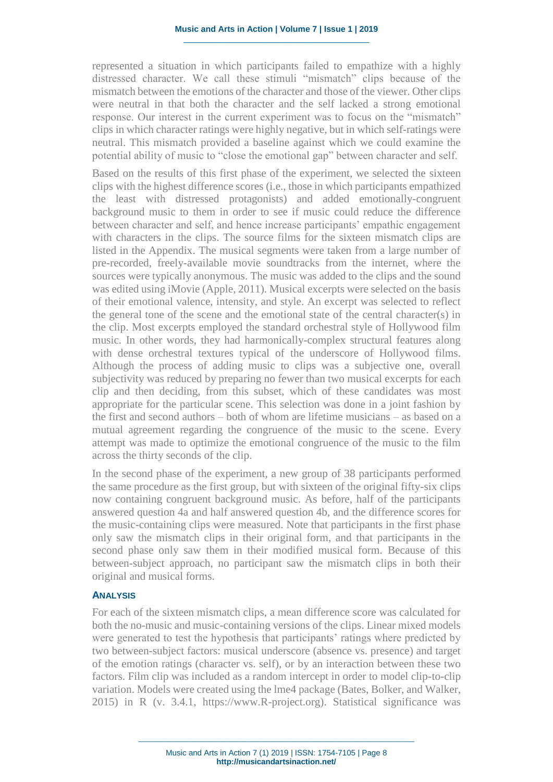represented a situation in which participants failed to empathize with a highly distressed character. We call these stimuli "mismatch" clips because of the mismatch between the emotions of the character and those of the viewer. Other clips were neutral in that both the character and the self lacked a strong emotional response. Our interest in the current experiment was to focus on the "mismatch" clips in which character ratings were highly negative, but in which self-ratings were neutral. This mismatch provided a baseline against which we could examine the potential ability of music to "close the emotional gap" between character and self.

Based on the results of this first phase of the experiment, we selected the sixteen clips with the highest difference scores (i.e., those in which participants empathized the least with distressed protagonists) and added emotionally-congruent background music to them in order to see if music could reduce the difference between character and self, and hence increase participants' empathic engagement with characters in the clips. The source films for the sixteen mismatch clips are listed in the Appendix. The musical segments were taken from a large number of pre-recorded, freely-available movie soundtracks from the internet, where the sources were typically anonymous. The music was added to the clips and the sound was edited using iMovie (Apple, 2011). Musical excerpts were selected on the basis of their emotional valence, intensity, and style. An excerpt was selected to reflect the general tone of the scene and the emotional state of the central character(s) in the clip. Most excerpts employed the standard orchestral style of Hollywood film music. In other words, they had harmonically-complex structural features along with dense orchestral textures typical of the underscore of Hollywood films. Although the process of adding music to clips was a subjective one, overall subjectivity was reduced by preparing no fewer than two musical excerpts for each clip and then deciding, from this subset, which of these candidates was most appropriate for the particular scene. This selection was done in a joint fashion by the first and second authors – both of whom are lifetime musicians – as based on a mutual agreement regarding the congruence of the music to the scene. Every attempt was made to optimize the emotional congruence of the music to the film across the thirty seconds of the clip.

In the second phase of the experiment, a new group of 38 participants performed the same procedure as the first group, but with sixteen of the original fifty-six clips now containing congruent background music. As before, half of the participants answered question 4a and half answered question 4b, and the difference scores for the music-containing clips were measured. Note that participants in the first phase only saw the mismatch clips in their original form, and that participants in the second phase only saw them in their modified musical form. Because of this between-subject approach, no participant saw the mismatch clips in both their original and musical forms.

## **ANALYSIS**

For each of the sixteen mismatch clips, a mean difference score was calculated for both the no-music and music-containing versions of the clips. Linear mixed models were generated to test the hypothesis that participants' ratings where predicted by two between-subject factors: musical underscore (absence vs. presence) and target of the emotion ratings (character vs. self), or by an interaction between these two factors. Film clip was included as a random intercept in order to model clip-to-clip variation. Models were created using the lme4 package (Bates, Bolker, and Walker, 2015) in R (v. 3.4.1, https://www.R-project.org). Statistical significance was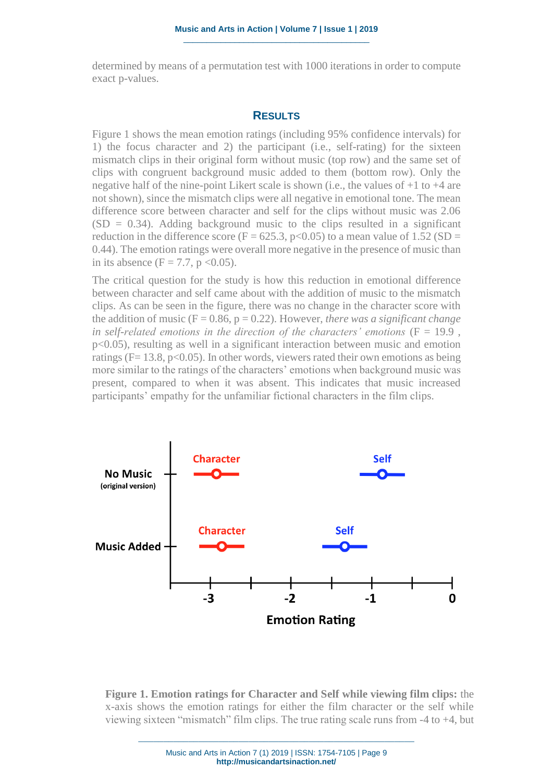determined by means of a permutation test with 1000 iterations in order to compute exact p-values.

### **RESULTS**

Figure 1 shows the mean emotion ratings (including 95% confidence intervals) for 1) the focus character and 2) the participant (i.e., self-rating) for the sixteen mismatch clips in their original form without music (top row) and the same set of clips with congruent background music added to them (bottom row). Only the negative half of the nine-point Likert scale is shown (i.e., the values of +1 to +4 are not shown), since the mismatch clips were all negative in emotional tone. The mean difference score between character and self for the clips without music was 2.06  $(SD = 0.34)$ . Adding background music to the clips resulted in a significant reduction in the difference score (F = 625.3, p<0.05) to a mean value of  $1.52$  (SD = 0.44). The emotion ratings were overall more negative in the presence of music than in its absence  $(F = 7.7, p < 0.05)$ .

The critical question for the study is how this reduction in emotional difference between character and self came about with the addition of music to the mismatch clips. As can be seen in the figure, there was no change in the character score with the addition of music ( $F = 0.86$ ,  $p = 0.22$ ). However, *there was a significant change in self-related emotions in the direction of the characters' emotions* (F = 19.9 , p<0.05), resulting as well in a significant interaction between music and emotion ratings ( $F = 13.8$ ,  $p < 0.05$ ). In other words, viewers rated their own emotions as being more similar to the ratings of the characters' emotions when background music was present, compared to when it was absent. This indicates that music increased participants' empathy for the unfamiliar fictional characters in the film clips.





Music and Arts in Action 7 (1) 2019 | ISSN: 1754-7105 | Page 9 **http://musicandartsinaction.net/**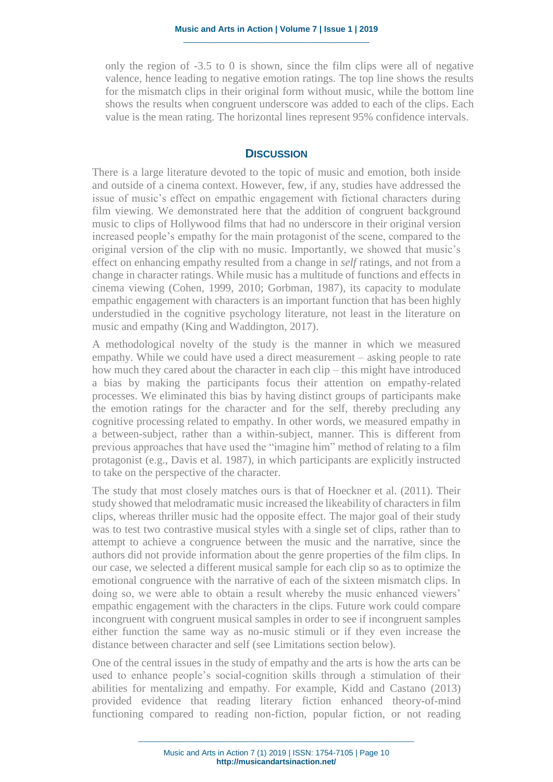only the region of -3.5 to 0 is shown, since the film clips were all of negative valence, hence leading to negative emotion ratings. The top line shows the results for the mismatch clips in their original form without music, while the bottom line shows the results when congruent underscore was added to each of the clips. Each value is the mean rating. The horizontal lines represent 95% confidence intervals.

## **DISCUSSION**

There is a large literature devoted to the topic of music and emotion, both inside and outside of a cinema context. However, few, if any, studies have addressed the issue of music's effect on empathic engagement with fictional characters during film viewing. We demonstrated here that the addition of congruent background music to clips of Hollywood films that had no underscore in their original version increased people's empathy for the main protagonist of the scene, compared to the original version of the clip with no music. Importantly, we showed that music's effect on enhancing empathy resulted from a change in *self* ratings, and not from a change in character ratings. While music has a multitude of functions and effects in cinema viewing (Cohen, 1999, 2010; Gorbman, 1987), its capacity to modulate empathic engagement with characters is an important function that has been highly understudied in the cognitive psychology literature, not least in the literature on music and empathy (King and Waddington, 2017).

A methodological novelty of the study is the manner in which we measured empathy. While we could have used a direct measurement – asking people to rate how much they cared about the character in each clip – this might have introduced a bias by making the participants focus their attention on empathy-related processes. We eliminated this bias by having distinct groups of participants make the emotion ratings for the character and for the self, thereby precluding any cognitive processing related to empathy. In other words, we measured empathy in a between-subject, rather than a within-subject, manner. This is different from previous approaches that have used the "imagine him" method of relating to a film protagonist (e.g., Davis et al. 1987), in which participants are explicitly instructed to take on the perspective of the character.

The study that most closely matches ours is that of Hoeckner et al. (2011). Their study showed that melodramatic music increased the likeability of characters in film clips, whereas thriller music had the opposite effect. The major goal of their study was to test two contrastive musical styles with a single set of clips, rather than to attempt to achieve a congruence between the music and the narrative, since the authors did not provide information about the genre properties of the film clips. In our case, we selected a different musical sample for each clip so as to optimize the emotional congruence with the narrative of each of the sixteen mismatch clips. In doing so, we were able to obtain a result whereby the music enhanced viewers' empathic engagement with the characters in the clips. Future work could compare incongruent with congruent musical samples in order to see if incongruent samples either function the same way as no-music stimuli or if they even increase the distance between character and self (see Limitations section below).

One of the central issues in the study of empathy and the arts is how the arts can be used to enhance people's social-cognition skills through a stimulation of their abilities for mentalizing and empathy. For example, Kidd and Castano (2013) provided evidence that reading literary fiction enhanced theory-of-mind functioning compared to reading non-fiction, popular fiction, or not reading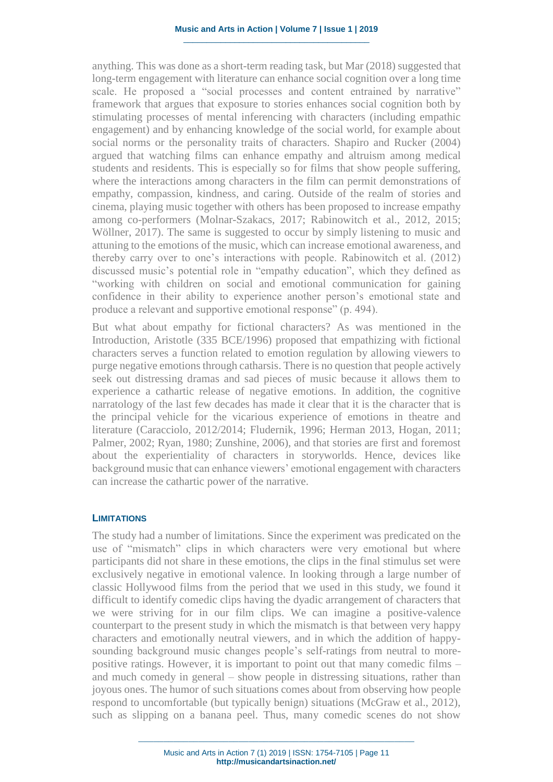anything. This was done as a short-term reading task, but Mar (2018) suggested that long-term engagement with literature can enhance social cognition over a long time scale. He proposed a "social processes and content entrained by narrative" framework that argues that exposure to stories enhances social cognition both by stimulating processes of mental inferencing with characters (including empathic engagement) and by enhancing knowledge of the social world, for example about social norms or the personality traits of characters. Shapiro and Rucker (2004) argued that watching films can enhance empathy and altruism among medical students and residents. This is especially so for films that show people suffering, where the interactions among characters in the film can permit demonstrations of empathy, compassion, kindness, and caring. Outside of the realm of stories and cinema, playing music together with others has been proposed to increase empathy among co-performers (Molnar-Szakacs, 2017; Rabinowitch et al., 2012, 2015; Wöllner, 2017). The same is suggested to occur by simply listening to music and attuning to the emotions of the music, which can increase emotional awareness, and thereby carry over to one's interactions with people. Rabinowitch et al. (2012) discussed music's potential role in "empathy education", which they defined as "working with children on social and emotional communication for gaining confidence in their ability to experience another person's emotional state and produce a relevant and supportive emotional response" (p. 494).

But what about empathy for fictional characters? As was mentioned in the Introduction, Aristotle (335 BCE/1996) proposed that empathizing with fictional characters serves a function related to emotion regulation by allowing viewers to purge negative emotions through catharsis. There is no question that people actively seek out distressing dramas and sad pieces of music because it allows them to experience a cathartic release of negative emotions. In addition, the cognitive narratology of the last few decades has made it clear that it is the character that is the principal vehicle for the vicarious experience of emotions in theatre and literature (Caracciolo, 2012/2014; Fludernik, 1996; Herman 2013, Hogan, 2011; Palmer, 2002; Ryan, 1980; Zunshine, 2006), and that stories are first and foremost about the experientiality of characters in storyworlds. Hence, devices like background music that can enhance viewers' emotional engagement with characters can increase the cathartic power of the narrative.

#### **LIMITATIONS**

The study had a number of limitations. Since the experiment was predicated on the use of "mismatch" clips in which characters were very emotional but where participants did not share in these emotions, the clips in the final stimulus set were exclusively negative in emotional valence. In looking through a large number of classic Hollywood films from the period that we used in this study, we found it difficult to identify comedic clips having the dyadic arrangement of characters that we were striving for in our film clips. We can imagine a positive-valence counterpart to the present study in which the mismatch is that between very happy characters and emotionally neutral viewers, and in which the addition of happysounding background music changes people's self-ratings from neutral to morepositive ratings. However, it is important to point out that many comedic films – and much comedy in general – show people in distressing situations, rather than joyous ones. The humor of such situations comes about from observing how people respond to uncomfortable (but typically benign) situations (McGraw et al., 2012), such as slipping on a banana peel. Thus, many comedic scenes do not show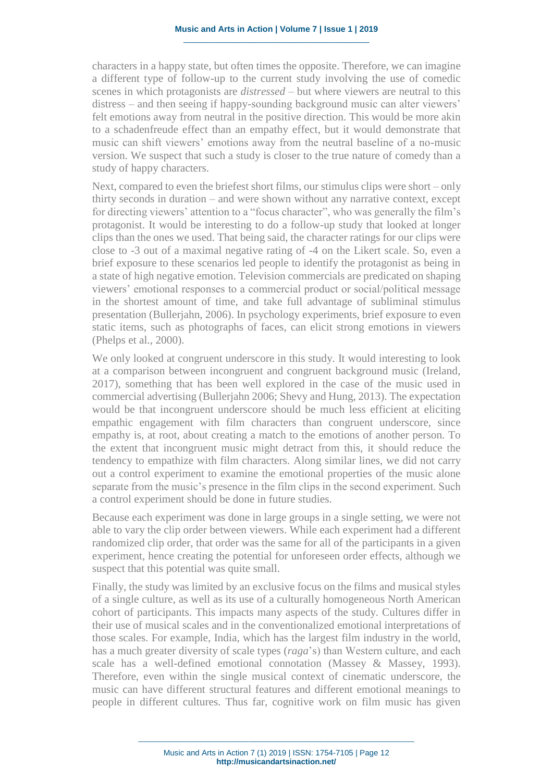characters in a happy state, but often times the opposite. Therefore, we can imagine a different type of follow-up to the current study involving the use of comedic scenes in which protagonists are *distressed* – but where viewers are neutral to this distress – and then seeing if happy-sounding background music can alter viewers' felt emotions away from neutral in the positive direction. This would be more akin to a schadenfreude effect than an empathy effect, but it would demonstrate that music can shift viewers' emotions away from the neutral baseline of a no-music version. We suspect that such a study is closer to the true nature of comedy than a study of happy characters.

Next, compared to even the briefest short films, our stimulus clips were short – only thirty seconds in duration – and were shown without any narrative context, except for directing viewers' attention to a "focus character", who was generally the film's protagonist. It would be interesting to do a follow-up study that looked at longer clips than the ones we used. That being said, the character ratings for our clips were close to -3 out of a maximal negative rating of -4 on the Likert scale. So, even a brief exposure to these scenarios led people to identify the protagonist as being in a state of high negative emotion. Television commercials are predicated on shaping viewers' emotional responses to a commercial product or social/political message in the shortest amount of time, and take full advantage of subliminal stimulus presentation (Bullerjahn, 2006). In psychology experiments, brief exposure to even static items, such as photographs of faces, can elicit strong emotions in viewers (Phelps et al., 2000).

We only looked at congruent underscore in this study. It would interesting to look at a comparison between incongruent and congruent background music (Ireland, 2017), something that has been well explored in the case of the music used in commercial advertising (Bullerjahn 2006; Shevy and Hung, 2013). The expectation would be that incongruent underscore should be much less efficient at eliciting empathic engagement with film characters than congruent underscore, since empathy is, at root, about creating a match to the emotions of another person. To the extent that incongruent music might detract from this, it should reduce the tendency to empathize with film characters. Along similar lines, we did not carry out a control experiment to examine the emotional properties of the music alone separate from the music's presence in the film clips in the second experiment. Such a control experiment should be done in future studies.

Because each experiment was done in large groups in a single setting, we were not able to vary the clip order between viewers. While each experiment had a different randomized clip order, that order was the same for all of the participants in a given experiment, hence creating the potential for unforeseen order effects, although we suspect that this potential was quite small.

Finally, the study was limited by an exclusive focus on the films and musical styles of a single culture, as well as its use of a culturally homogeneous North American cohort of participants. This impacts many aspects of the study. Cultures differ in their use of musical scales and in the conventionalized emotional interpretations of those scales. For example, India, which has the largest film industry in the world, has a much greater diversity of scale types (*raga*'s) than Western culture, and each scale has a well-defined emotional connotation (Massey & Massey, 1993). Therefore, even within the single musical context of cinematic underscore, the music can have different structural features and different emotional meanings to people in different cultures. Thus far, cognitive work on film music has given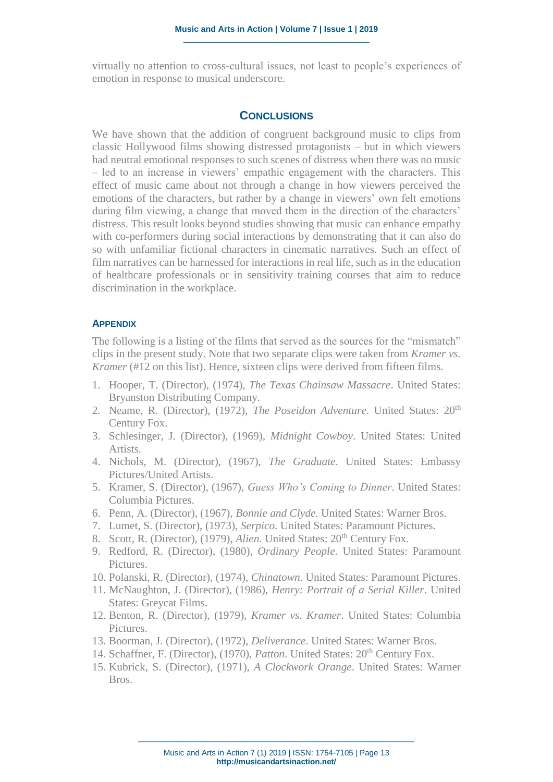virtually no attention to cross-cultural issues, not least to people's experiences of emotion in response to musical underscore.

## **CONCLUSIONS**

We have shown that the addition of congruent background music to clips from classic Hollywood films showing distressed protagonists – but in which viewers had neutral emotional responses to such scenes of distress when there was no music – led to an increase in viewers' empathic engagement with the characters. This effect of music came about not through a change in how viewers perceived the emotions of the characters, but rather by a change in viewers' own felt emotions during film viewing, a change that moved them in the direction of the characters' distress. This result looks beyond studies showing that music can enhance empathy with co-performers during social interactions by demonstrating that it can also do so with unfamiliar fictional characters in cinematic narratives. Such an effect of film narratives can be harnessed for interactions in real life, such as in the education of healthcare professionals or in sensitivity training courses that aim to reduce discrimination in the workplace.

### **APPENDIX**

The following is a listing of the films that served as the sources for the "mismatch" clips in the present study. Note that two separate clips were taken from *Kramer vs. Kramer* (#12 on this list). Hence, sixteen clips were derived from fifteen films.

- 1. Hooper, T. (Director), (1974), *The Texas Chainsaw Massacre*. United States: Bryanston Distributing Company.
- 2. Neame, R. (Director), (1972), *The Poseidon Adventure*. United States: 20<sup>th</sup> Century Fox.
- 3. Schlesinger, J. (Director), (1969), *Midnight Cowboy*. United States: United Artists.
- 4. Nichols, M. (Director), (1967), *The Graduate*. United States: Embassy Pictures/United Artists.
- 5. Kramer, S. (Director), (1967), *Guess Who's Coming to Dinner*. United States: Columbia Pictures.
- 6. Penn, A. (Director), (1967), *Bonnie and Clyde*. United States: Warner Bros.
- 7. Lumet, S. (Director), (1973), *Serpico*. United States: Paramount Pictures.
- 8. Scott, R. (Director), (1979), *Alien*. United States: 20<sup>th</sup> Century Fox.
- 9. Redford, R. (Director), (1980), *Ordinary People*. United States: Paramount Pictures.
- 10. Polanski, R. (Director), (1974), *Chinatown*. United States: Paramount Pictures.
- 11. McNaughton, J. (Director), (1986), *Henry: Portrait of a Serial Killer*. United States: Greycat Films.
- 12. Benton, R. (Director), (1979), *Kramer vs. Kramer*. United States: Columbia Pictures.
- 13. Boorman, J. (Director), (1972), *Deliverance*. United States: Warner Bros.
- 14. Schaffner, F. (Director), (1970), *Patton*. United States: 20<sup>th</sup> Century Fox.
- 15. Kubrick, S. (Director), (1971), *A Clockwork Orange*. United States: Warner Bros.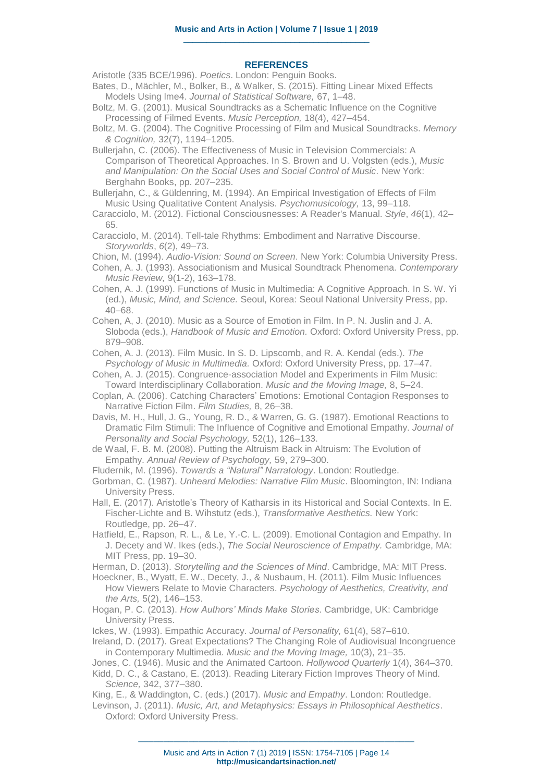#### **REFERENCES**

Aristotle (335 BCE/1996). *Poetics*. London: Penguin Books. Bates, D., Mächler, M., Bolker, B., & Walker, S. (2015). Fitting Linear Mixed Effects

Models Using lme4. *Journal of Statistical Software,* 67, 1–48. Boltz, M. G. (2001). Musical Soundtracks as a Schematic Influence on the Cognitive Processing of Filmed Events. *Music Perception,* 18(4), 427–454.

- Boltz, M. G. (2004). The Cognitive Processing of Film and Musical Soundtracks. *Memory & Cognition,* 32(7), 1194–1205.
- Bullerjahn, C. (2006). The Effectiveness of Music in Television Commercials: A Comparison of Theoretical Approaches. In S. Brown and U. Volgsten (eds.), *Music and Manipulation: On the Social Uses and Social Control of Music.* New York: Berghahn Books, pp. 207–235.

Bullerjahn, C., & Güldenring, M. (1994). An Empirical Investigation of Effects of Film Music Using Qualitative Content Analysis. *Psychomusicology,* 13, 99–118.

Caracciolo, M. (2012). Fictional Consciousnesses: A Reader's Manual. *Style*, *46*(1), 42– 65.

Caracciolo, M. (2014). Tell-tale Rhythms: Embodiment and Narrative Discourse. *Storyworlds*, *6*(2), 49–73.

Chion, M. (1994). *Audio-Vision: Sound on Screen*. New York: Columbia University Press.

Cohen, A. J. (1993). Associationism and Musical Soundtrack Phenomena. *Contemporary Music Review,* 9(1-2), 163–178.

Cohen, A. J. (1999). Functions of Music in Multimedia: A Cognitive Approach. In S. W. Yi (ed.), *Music, Mind, and Science.* Seoul, Korea: Seoul National University Press, pp. 40–68.

Cohen, A, J. (2010). Music as a Source of Emotion in Film. In P. N. Juslin and J. A. Sloboda (eds.), *Handbook of Music and Emotion.* Oxford: Oxford University Press, pp. 879–908.

Cohen, A. J. (2013). Film Music. In S. D. Lipscomb, and R. A. Kendal (eds.). *The Psychology of Music in Multimedia.* Oxford: Oxford University Press, pp. 17–47.

Cohen, A. J. (2015). Congruence-association Model and Experiments in Film Music: Toward Interdisciplinary Collaboration. *Music and the Moving Image,* 8, 5–24.

- Coplan, A. (2006). Catching Characters' Emotions: Emotional Contagion Responses to Narrative Fiction Film. *Film Studies,* 8, 26–38.
- Davis, M. H., Hull, J. G., Young, R. D., & Warren, G. G. (1987). Emotional Reactions to Dramatic Film Stimuli: The Influence of Cognitive and Emotional Empathy. *Journal of Personality and Social Psychology,* 52(1), 126–133.

de Waal, F. B. M. (2008). Putting the Altruism Back in Altruism: The Evolution of Empathy. *Annual Review of Psychology,* 59, 279–300.

- Fludernik, M. (1996). *Towards a "Natural" Narratology*. London: Routledge.
- Gorbman, C. (1987). *Unheard Melodies: Narrative Film Music*. Bloomington, IN: Indiana University Press.

Hall, E. (2017). Aristotle's Theory of Katharsis in its Historical and Social Contexts. In E. Fischer-Lichte and B. Wihstutz (eds.), *Transformative Aesthetics.* New York: Routledge, pp. 26–47.

Hatfield, E., Rapson, R. L., & Le, Y.-C. L. (2009). Emotional Contagion and Empathy. In J. Decety and W. Ikes (eds.), *The Social Neuroscience of Empathy.* Cambridge, MA: MIT Press, pp. 19–30.

Herman, D. (2013). *Storytelling and the Sciences of Mind*. Cambridge, MA: MIT Press.

Hoeckner, B., Wyatt, E. W., Decety, J., & Nusbaum, H. (2011). Film Music Influences How Viewers Relate to Movie Characters. *Psychology of Aesthetics, Creativity, and the Arts,* 5(2), 146–153.

Hogan, P. C. (2013). *How Authors' Minds Make Stories*. Cambridge, UK: Cambridge University Press.

Ickes, W. (1993). Empathic Accuracy. *Journal of Personality,* 61(4), 587–610.

Ireland, D. (2017). Great Expectations? The Changing Role of Audiovisual Incongruence in Contemporary Multimedia. *Music and the Moving Image,* 10(3), 21–35.

Jones, C. (1946). Music and the Animated Cartoon. *Hollywood Quarterly* 1(4), 364–370.

Kidd, D. C., & Castano, E. (2013). Reading Literary Fiction Improves Theory of Mind. *Science,* 342, 377–380.

King, E., & Waddington, C. (eds.) (2017). *Music and Empathy*. London: Routledge.

Levinson, J. (2011). *Music, Art, and Metaphysics: Essays in Philosophical Aesthetics*. Oxford: Oxford University Press.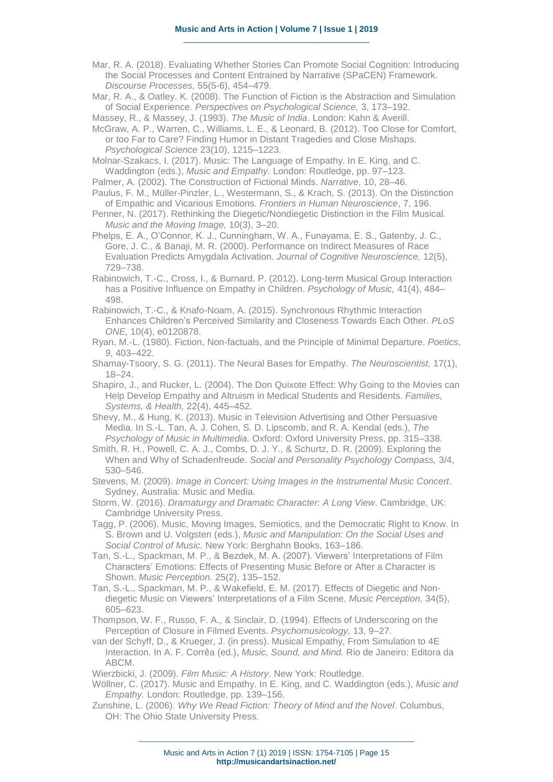Mar, R. A. (2018). Evaluating Whether Stories Can Promote Social Cognition: Introducing the Social Processes and Content Entrained by Narrative (SPaCEN) Framework. *Discourse Processes,* 55(5-6), 454–479.

Mar, R. A., & Oatley. K. (2008). The Function of Fiction is the Abstraction and Simulation of Social Experience. *Perspectives on Psychological Science,* 3, 173–192.

Massey, R., & Massey, J. (1993). *The Music of India*. London: Kahn & Averill.

McGraw, A. P., Warren, C., Williams, L. E., & Leonard, B. (2012). Too Close for Comfort, or too Far to Care? Finding Humor in Distant Tragedies and Close Mishaps. *Psychological Science* 23(10), 1215–1223.

Molnar-Szakacs, I. (2017). Music: The Language of Empathy. In E. King, and C. Waddington (eds.), *Music and Empathy.* London: Routledge, pp. 97–123.

Palmer, A. (2002). The Construction of Fictional Minds. *Narrative*, 10, 28–46.

Paulus, F. M., Müller-Pinzler, L., Westermann, S., & Krach, S. (2013). On the Distinction of Empathic and Vicarious Emotions. *Frontiers in Human Neuroscience*, 7, 196.

Penner, N. (2017). Rethinking the Diegetic/Nondiegetic Distinction in the Film Musical*. Music and the Moving Image,* 10(3), 3–20.

Phelps, E. A., O'Connor, K. J., Cunningham, W. A., Funayama, E. S., Gatenby, J. C., Gore, J. C., & Banaji, M. R. (2000). Performance on Indirect Measures of Race Evaluation Predicts Amygdala Activation. *Journal of Cognitive Neuroscience,* 12(5), 729–738.

Rabinowich, T.-C., Cross, I., & Burnard. P. (2012). Long-term Musical Group Interaction has a Positive Influence on Empathy in Children. *Psychology of Music,* 41(4), 484– 498.

Rabinowich, T.-C., & Knafo-Noam, A. (2015). Synchronous Rhythmic Interaction Enhances Children's Perceived Similarity and Closeness Towards Each Other. *PLoS ONE,* 10(4), e0120878.

Ryan, M.-L. (1980). Fiction, Non-factuals, and the Principle of Minimal Departure. *Poetics*, *9*, 403–422.

Shamay-Tsoory, S. G. (2011). The Neural Bases for Empathy. *The Neuroscientist,* 17(1), 18–24.

Shapiro, J., and Rucker, L. (2004). The Don Quixote Effect: Why Going to the Movies can Help Develop Empathy and Altruism in Medical Students and Residents. *Families, Systems, & Health,* 22(4), 445–452.

Shevy, M., & Hung, K. (2013). Music in Television Advertising and Other Persuasive Media. In S.-L. Tan, A. J. Cohen, S. D. Lipscomb, and R. A. Kendal (eds.), *The Psychology of Music in Multimedia.* Oxford: Oxford University Press, pp. 315–338.

Smith, R. H., Powell, C. A. J., Combs, D. J. Y., & Schurtz, D. R. (2009). Exploring the When and Why of Schadenfreude. *Social and Personality Psychology Compass,* 3/4, 530–546.

Stevens, M. (2009). *Image in Concert: Using Images in the Instrumental Music Concert*. Sydney, Australia: Music and Media.

Storm, W. (2016). *Dramaturgy and Dramatic Character: A Long View*. Cambridge, UK: Cambridge University Press.

Tagg, P. (2006). Music, Moving Images, Semiotics, and the Democratic Right to Know. In S. Brown and U. Volgsten (eds.), *Music and Manipulation: On the Social Uses and Social Control of Music.* New York: Berghahn Books, 163–186.

Tan, S.-L., Spackman, M. P., & Bezdek, M. A. (2007). Viewers' Interpretations of Film Characters' Emotions: Effects of Presenting Music Before or After a Character is Shown. *Music Perception.* 25(2), 135–152.

Tan, S.-L., Spackman, M. P., & Wakefield, E. M. (2017). Effects of Diegetic and Nondiegetic Music on Viewers' Interpretations of a Film Scene. *Music Perception,* 34(5), 605–623.

Thompson, W. F., Russo, F. A., & Sinclair, D. (1994). Effects of Underscoring on the Perception of Closure in Filmed Events. *Psychomusicology,* 13, 9–27.

van der Schyff, D., & Krueger, J. (in press). Musical Empathy, From Simulation to 4E Interaction. In A. F. Corrêa (ed.), *Music, Sound, and Mind.* Rio de Janeiro: Editora da ABCM.

Wierzbicki, J. (2009). *Film Music: A History*. New York: Routledge.

Wöllner, C. (2017). Music and Empathy. In E. King, and C. Waddington (eds.), *Music and Empathy.* London: Routledge, pp. 139–156.

Zunshine, L. (2006). *Why We Read Fiction: Theory of Mind and the Novel*. Columbus, OH: The Ohio State University Press.